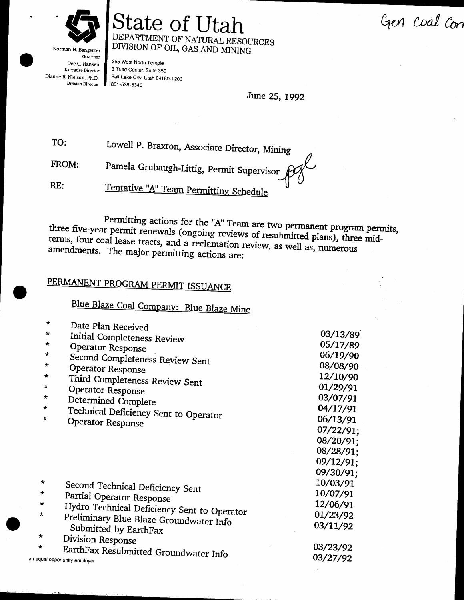Gen coal con



Norman H. Bangerter Governor Dee C. Hansen Executive Director Dianne R. Nielson, Ph.D. **Division Director** 

an ei

#### State of Utah DEPARTMENT OF NATURAL RESOURCES DIVISION OF OIL, GAS AND MINING

355 West North Temple 3 Triad Center, Suite 350 Salt Lake City, Utah 84180-1203 801-538-5340

June 25, 1992

TO: Lowell P. Braxton, Associate Director, Mining

FROM: Pamela Grubaugh-Littig, Permit Supervisor

Tentative "A" Team Permitting Schedule RE:

Permitting actions for the "A" Team are two permanent program permits, three five-year permit renewals (ongoing reviews of resubmitted plans), three midterms, four coal lease tracts, and a reclamation review, as well as, numerous amendments. The major permitting actions are:

#### PERMANENT PROGRAM PERMIT ISSUANCE

Blue Blaze Coal Company: Blue Blaze Mine

| $\star$ | Date Plan Received                          |           |
|---------|---------------------------------------------|-----------|
| $\star$ | Initial Completeness Review                 | 03/13/89  |
| $\star$ | Operator Response                           | 05/17/89  |
| *       | Second Completeness Review Sent             | 06/19/90  |
| *       | Operator Response                           | 08/08/90  |
| *       | Third Completeness Review Sent              | 12/10/90  |
| *       | Operator Response                           | 01/29/91  |
| $\star$ | Determined Complete                         | 03/07/91  |
| $\star$ | Technical Deficiency Sent to Operator       | 04/17/91  |
| *       | Operator Response                           | 06/13/91  |
|         |                                             | 07/22/91; |
|         |                                             | 08/20/91; |
|         |                                             | 08/28/91; |
|         |                                             | 09/12/91; |
|         |                                             | 09/30/91; |
| $\star$ | Second Technical Deficiency Sent            | 10/03/91  |
| $\star$ | Partial Operator Response                   | 10/07/91  |
| $\star$ | Hydro Technical Deficiency Sent to Operator | 12/06/91  |
| $\star$ | Preliminary Blue Blaze Groundwater Info     | 01/23/92  |
|         | Submitted by EarthFax                       | 03/11/92  |
| *       | Division Response                           |           |
| *       | EarthFax Resubmitted Groundwater Info       | 03/23/92  |
|         | qual opportunity employer                   | 03/27/92  |
|         |                                             |           |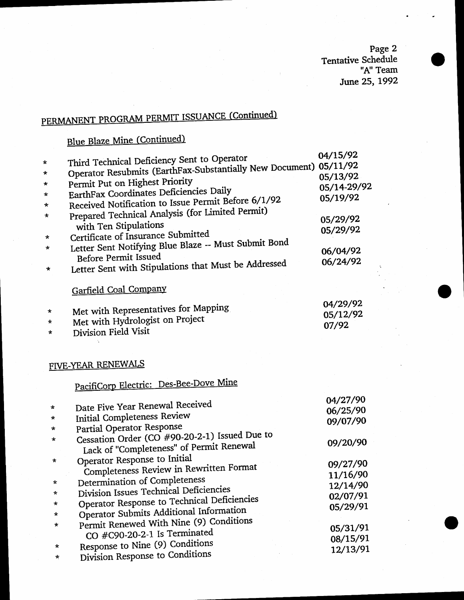Page 2<br>Tentative Schedule<br>"A" Team" June 25, 1992

# PERMANENT PROGRAM PERMIT ISSUANCE (Continued)

#### Blue Blaze Mine (Continued)

|          |                                                                                                                  | 04/15/92    |
|----------|------------------------------------------------------------------------------------------------------------------|-------------|
| $\star$  | Third Technical Deficiency Sent to Operator<br>Operator Resubmits (EarthFax-Substantially New Document) 05/11/92 |             |
| *        |                                                                                                                  | 05/13/92    |
| $\star$  | Permit Put on Highest Priority                                                                                   | 05/14-29/92 |
| $\star$  | EarthFax Coordinates Deficiencies Daily                                                                          | 05/19/92    |
| $\star$  | Received Notification to Issue Permit Before 6/1/92                                                              |             |
| ∗        | Prepared Technical Analysis (for Limited Permit)                                                                 | 05/29/92    |
|          | with Ten Stipulations                                                                                            | 05/29/92    |
| $\star$  | Certificate of Insurance Submitted                                                                               |             |
| $^\star$ | Letter Sent Notifying Blue Blaze -- Must Submit Bond                                                             | 06/04/92    |
|          | <b>Before Permit Issued</b>                                                                                      | 06/24/92    |
| *        | Letter Sent with Stipulations that Must be Addressed                                                             |             |
|          | Garfield Coal Company                                                                                            |             |
|          | Met with Representatives for Mapping                                                                             | 04/29/92    |
| *        | Met with Hydrologist on Project                                                                                  | 05/12/92    |
| *        | Division Field Visit                                                                                             | 07/92       |
| $\star$  |                                                                                                                  |             |
|          |                                                                                                                  |             |
|          | FIVE-YEAR RENEWALS                                                                                               |             |
|          | PacifiCorp Electric: Des-Bee-Dove Mine                                                                           |             |
|          |                                                                                                                  | 04/27/90    |
| $\star$  | Date Five Year Renewal Received                                                                                  | 06/25/90    |
| *        | Initial Completeness Review                                                                                      | 09/07/90    |
| *        | Partial Operator Response                                                                                        |             |
| $^\star$ | Cessation Order (CO #90-20-2-1) Issued Due to                                                                    | 09/20/90    |
|          | Lack of "Completeness" of Permit Renewal                                                                         |             |
| $\star$  | Operator Response to Initial                                                                                     | 09/27/90    |
|          | Completeness Review in Rewritten Format                                                                          | 11/16/90    |
| $\star$  | Determination of Completeness                                                                                    | 12/14/90    |
|          | Division Issues Technical Deficiencies                                                                           |             |
| *        | Operator Response to Technical Deficiencies                                                                      | 02/07/91    |
| *        | Operator Submits Additional Information                                                                          | 05/29/91    |
| *        | Permit Renewed With Nine (9) Conditions                                                                          |             |
|          | CO #C90-20-2-1 Is Terminated                                                                                     | 05/31/91    |
| *        | Response to Nine (9) Conditions                                                                                  | 08/15/91    |
|          | monse to Conditions                                                                                              | 12/13/91    |

Response to Nine (9) Conditions<br>Division Response to Conditions  $\star$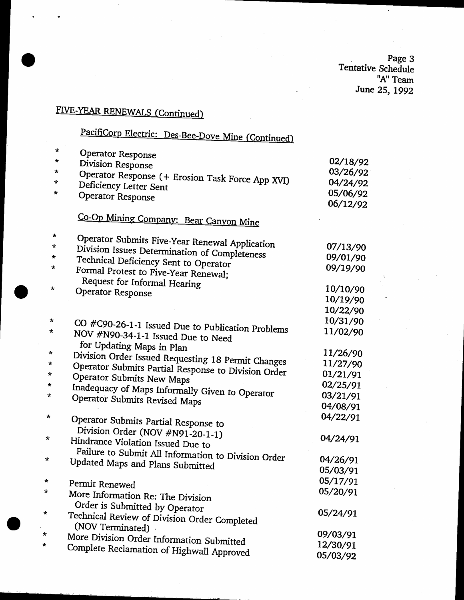Page 3<br>Tentative Schedule<br>A" Team" June 25, 1992

 $\epsilon$ 

## FIVE-YEAR RENEWALS (Continued)

ż

# PacifiCorp Electric: Des-Bee-Dove Mine (Continued)

| $\star$    | Operator Response                                                          |          |
|------------|----------------------------------------------------------------------------|----------|
| *          | Division Response                                                          | 02/18/92 |
| *          |                                                                            | 03/26/92 |
| *          | Operator Response (+ Erosion Task Force App XVI)<br>Deficiency Letter Sent | 04/24/92 |
| *          |                                                                            | 05/06/92 |
|            | Operator Response                                                          | 06/12/92 |
|            | Co-Op Mining Company: Bear Canyon Mine                                     |          |
| *          | Operator Submits Five-Year Renewal Application                             |          |
| $\star$    | Division Issues Determination of Completeness                              | 07/13/90 |
| $\ast$     | Technical Deficiency Sent to Operator                                      | 09/01/90 |
| *          | Formal Protest to Five-Year Renewal;                                       | 09/19/90 |
|            | Request for Informal Hearing                                               |          |
| *          | Operator Response                                                          | 10/10/90 |
|            |                                                                            | 10/19/90 |
|            |                                                                            | 10/22/90 |
| $\star$    | CO #C90-26-1-1 Issued Due to Publication Problems                          | 10/31/90 |
| *          | NOV #N90-34-1-1 Issued Due to Need                                         | 11/02/90 |
| $\star$    | for Updating Maps in Plan                                                  | 11/26/90 |
| *          | Division Order Issued Requesting 18 Permit Changes                         | 11/27/90 |
| $\star$    | Operator Submits Partial Response to Division Order                        | 01/21/91 |
| *          | Operator Submits New Maps                                                  | 02/25/91 |
| *          | Inadequacy of Maps Informally Given to Operator                            | 03/21/91 |
|            | Operator Submits Revised Maps                                              | 04/08/91 |
| *          |                                                                            | 04/22/91 |
|            | Operator Submits Partial Response to                                       |          |
| *          | Division Order (NOV #N91-20-1-1)<br>Hindrance Violation Issued Due to      | 04/24/91 |
| *          | Failure to Submit All Information to Division Order                        | 04/26/91 |
|            | Updated Maps and Plans Submitted                                           | 05/03/91 |
| *          |                                                                            |          |
|            | Permit Renewed                                                             | 05/17/91 |
| $\star$    | More Information Re: The Division                                          | 05/20/91 |
|            | Order is Submitted by Operator                                             |          |
| *          | Technical Review of Division Order Completed                               | 05/24/91 |
|            | (NOV Terminated)                                                           |          |
| *          | More Division Order Information Submitted                                  | 09/03/91 |
| $^{\star}$ | Complete Reclamation of Highwall Approved                                  | 12/30/91 |
|            |                                                                            | 05/03/92 |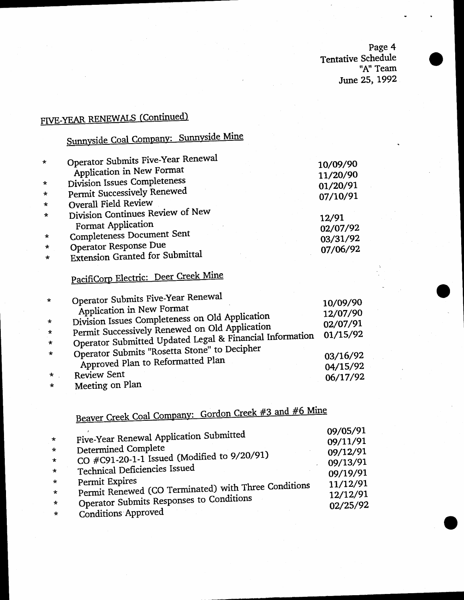Page 4 Tentative Schedule "A" Team June 25, 1992

## FIVE-YEAR RENEWALS (Continued)

# Sunnyside Coal Company: Sunnyside Mine

| $\star$ | Operator Submits Five-Year Renewal                     | 10/09/90          |
|---------|--------------------------------------------------------|-------------------|
|         | Application in New Format                              | 11/20/90          |
| $\star$ | Division Issues Completeness                           | 01/20/91          |
| $\star$ | Permit Successively Renewed                            | 07/10/91          |
| $\star$ | Overall Field Review                                   |                   |
| $\star$ | Division Continues Review of New<br>Format Application | 12/91<br>02/07/92 |
| $\star$ | <b>Completeness Document Sent</b>                      | 03/31/92          |
| *       | Operator Response Due                                  | 07/06/92          |
| $\star$ | <b>Extension Granted for Submittal</b>                 |                   |
|         |                                                        |                   |

## PacifiCorp Electric: Deer Creek Mine

| $\star$ | <b>Operator Submits Five-Year Renewal</b><br>Application in New Format | 10/09/90<br>12/07/90 |
|---------|------------------------------------------------------------------------|----------------------|
| $\star$ | Division Issues Completeness on Old Application                        | 02/07/91             |
| $\star$ | Permit Successively Renewed on Old Application                         | 01/15/92             |
| $\star$ | Operator Submitted Updated Legal & Financial Information               |                      |
| $\star$ | Operator Submits "Rosetta Stone" to Decipher                           | 03/16/92             |
|         | Approved Plan to Reformatted Plan                                      | 04/15/92             |
| $\star$ | <b>Review Sent</b>                                                     | 06/17/92             |
| $\star$ | Meeting on Plan                                                        |                      |

Beaver Creek Coal Company: Gordon Creek #3 and #6 Mine

|         |                                                      | 09/05/91 |
|---------|------------------------------------------------------|----------|
| $\star$ | Five-Year Renewal Application Submitted              | 09/11/91 |
| $\star$ | Determined Complete                                  | 09/12/91 |
| $\star$ | CO #C91-20-1-1 Issued (Modified to 9/20/91)          | 09/13/91 |
| $\star$ | Technical Deficiencies Issued                        | 09/19/91 |
| $\star$ | Permit Expires                                       | 11/12/91 |
| $\star$ | Permit Renewed (CO Terminated) with Three Conditions | 12/12/91 |
| $\star$ | Operator Submits Responses to Conditions             | 02/25/92 |
| $\star$ | <b>Conditions Approved</b>                           |          |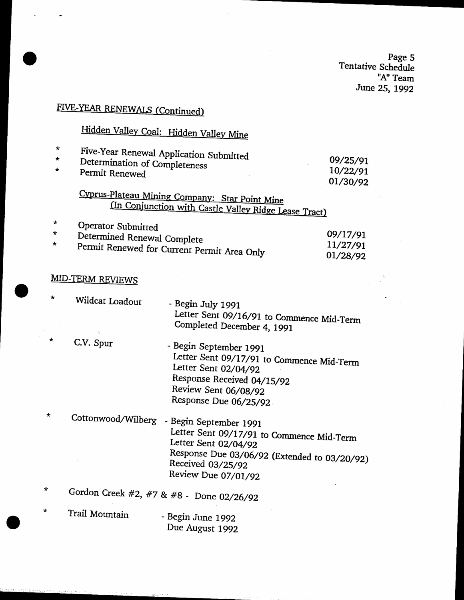page <sup>5</sup> Tentative Schedule  $A''$  Team June 25, 1992

 $\ddot{\psi}$ 

## FIVE-YEAR RENEWALS (Continued)

# Hidden Valley Coal: Hidden Valley Mine

| $\star$<br>$\star$<br>$\star$ | Five-Year Renewal Application Submitted<br>Determination of Completeness<br>Permit Renewed<br>Cyprus-Plateau Mining Company: Star Point Mine |                                                                                                                                                                                         | 09/25/91<br>10/22/91<br>01/30/92 |
|-------------------------------|----------------------------------------------------------------------------------------------------------------------------------------------|-----------------------------------------------------------------------------------------------------------------------------------------------------------------------------------------|----------------------------------|
|                               |                                                                                                                                              | (In Conjunction with Castle Valley Ridge Lease Tract)                                                                                                                                   |                                  |
| ÷<br>*                        | Operator Submitted<br>Determined Renewal Complete<br>Permit Renewed for Current Permit Area Only                                             |                                                                                                                                                                                         | 09/17/91<br>11/27/91<br>01/28/92 |
|                               | <b>MID-TERM REVIEWS</b>                                                                                                                      |                                                                                                                                                                                         |                                  |
| $\star$                       | Wildcat Loadout                                                                                                                              | - Begin July 1991<br>Letter Sent 09/16/91 to Commence Mid-Term<br>Completed December 4, 1991                                                                                            |                                  |
| *                             | C.V. Spur                                                                                                                                    | - Begin September 1991<br>Letter Sent 09/17/91 to Commence Mid-Term<br>Letter Sent 02/04/92<br>Response Received 04/15/92<br>Review Sent 06/08/92<br>Response Due 06/25/92              |                                  |
| *                             | Cottonwood/Wilberg                                                                                                                           | - Begin September 1991<br>Letter Sent 09/17/91 to Commence Mid-Term<br>Letter Sent 02/04/92<br>Response Due 03/06/92 (Extended to 03/20/92)<br>Received 03/25/92<br>Review Due 07/01/92 |                                  |
| $\star$                       |                                                                                                                                              | Gordon Creek #2, #7 & #8 - Done 02/26/92                                                                                                                                                |                                  |
| $\star$                       | Trail Mountain                                                                                                                               | - Begin June 1992<br>Due August 1992                                                                                                                                                    |                                  |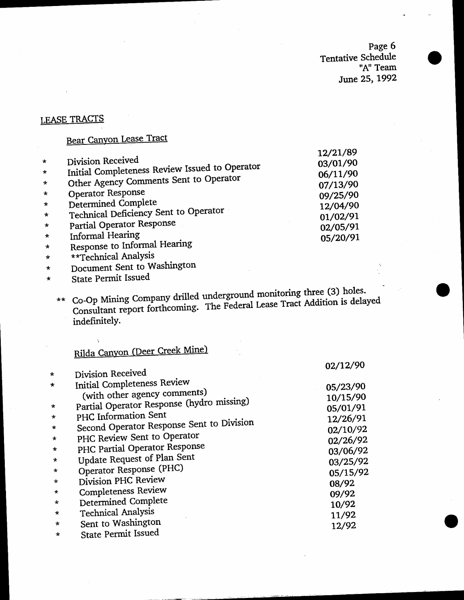Page 6 Tentative Schedule "A" Team June 25, 1992

 $\sim$   $\sim$   $\sim$ 

#### LEASE TRACTS

#### Bear Canyon Lease Tract

|         |                                                | 12/21/89 |
|---------|------------------------------------------------|----------|
| $\star$ | Division Received                              | 03/01/90 |
| $\star$ | Initial Completeness Review Issued to Operator | 06/11/90 |
| $\star$ | Other Agency Comments Sent to Operator         | 07/13/90 |
| $\star$ | Operator Response                              | 09/25/90 |
| $\star$ | Determined Complete                            | 12/04/90 |
| $\star$ | Technical Deficiency Sent to Operator          | 01/02/91 |
| $\star$ | Partial Operator Response                      | 02/05/91 |
| $\star$ | Informal Hearing                               | 05/20/91 |
| $\star$ | Response to Informal Hearing                   |          |
|         |                                                |          |

- \*\*Technical Analysis  $\star$
- Document Sent to Washington  $\pmb{\star}$
- State Permit Issued  $\star$

 $\bar{\gamma}$ 

\*\* Co-Op Mining Company drilled underground monitoring three (3) holes. Consultant report forthcoming. The Federal Lease Tract Addition is delayed indefinitely.

## Rilda Canyon (Deer Creek Mine)

|         |                                                                    | 02/12/90             |
|---------|--------------------------------------------------------------------|----------------------|
| $\star$ | Division Received                                                  |                      |
| $\star$ | <b>Initial Completeness Review</b><br>(with other agency comments) | 05/23/90<br>10/15/90 |
| $\star$ | Partial Operator Response (hydro missing)                          | 05/01/91             |
| *       | PHC Information Sent                                               | 12/26/91             |
| $\star$ | Second Operator Response Sent to Division                          | 02/10/92             |
| $\star$ | PHC Review Sent to Operator                                        | 02/26/92             |
| $\star$ | PHC Partial Operator Response                                      | 03/06/92             |
| $\star$ | Update Request of Plan Sent                                        | 03/25/92             |
| $\star$ | Operator Response (PHC)                                            | 05/15/92             |
| $\star$ | Division PHC Review                                                | 08/92                |
| $\star$ | Completeness Review                                                | 09/92                |
| $\star$ | Determined Complete                                                | 10/92                |
| $\star$ | <b>Technical Analysis</b>                                          | 11/92                |
| $\star$ | Sent to Washington                                                 | 12/92                |
| $\star$ | State Permit Issued                                                |                      |